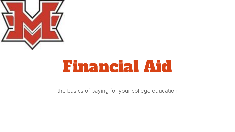

# Financial Aid

the basics of paying for your college education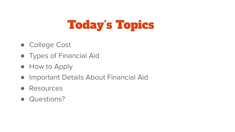# Today's Topics

- College Cost
- Types of Financial Aid
- How to Apply
- **Important Details About Financial Aid**
- Resources
- Questions?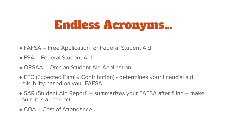### Endless Acronyms…

- FAFSA Free Application for Federal Student Aid
- FSA Federal Student Aid
- ORSAA Oregon Student Aid Application
- EFC (Expected Family Contribution) determines your financial aid eligibility based on your FAFSA
- SAR (Student Aid Report) summarizes your FAFSA after filing make sure it is all correct
- COA Cost of Attendance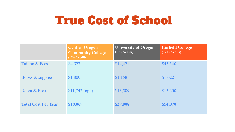### True Cost of School

|                             | <b>Central Oregon</b><br><b>Community College</b><br>$(12 + Credits)$ | <b>University of Oregon</b><br>(15 Credits) | <b>Linfield College</b><br>$(12 + Credits)$ |
|-----------------------------|-----------------------------------------------------------------------|---------------------------------------------|---------------------------------------------|
| Tuition & Fees              | \$4,527                                                               | \$14,421                                    | \$45,340                                    |
| <b>Books &amp; supplies</b> | \$1,800                                                               | \$1,158                                     | \$1,622                                     |
| Room & Board                | $$11,742$ (opt.)                                                      | \$13,509                                    | \$13,200                                    |
| <b>Total Cost Per Year</b>  | \$18,069                                                              | \$29,008                                    | \$54,070                                    |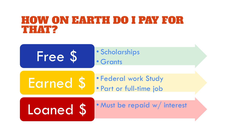### HOW ON EARTH DO I PAY FOR THAT?

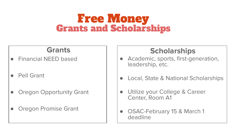### Free Money Grants and Scholarships

#### **Grants**

- **Financial NEED based**
- **Pell Grant**
- **Oregon Opportunity Grant**
- **Oregon Promise Grant**

#### **Scholarships**

- Academic, sports, first-generation, leadership, etc.
- Local, State & National Scholarships
- Utilize your College & Career Center, Room A1
- OSAC-February 15 & March 1 deadline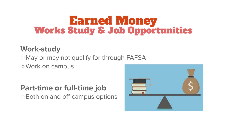# **Earned Money<br>Works Study & Job Opportunities**

#### **Work-study**

○May or may not qualify for through FAFSA ○Work on campus

#### **Part-time or full-time job**

○Both on and off campus options

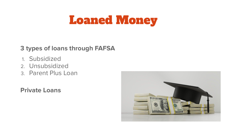### Loaned Money

#### **3 types of loans through FAFSA**

- 1. Subsidized
- 2. Unsubsidized
- 3. Parent Plus Loan

#### **Private Loans**

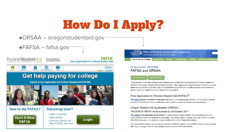# How Do I Apply?

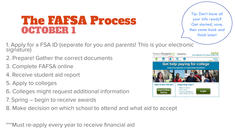### The FAFSA Process OCTOBER 1

Tip: Don't have all your info ready? Get started, save, then come back and finish later!

- 1. Apply for a FSA ID (separate for you and parents! This is your electronic signature)
- 2. Prepare! Gather the correct documents
- 3. Complete FAFSA online
- 4. Receive student aid report
- 5. Apply to colleges
- 6. Colleges might request additional information
- 7. Spring begin to receive awards
- 8. Make decision on which school to attend and what aid to accept

\*\*\*Must re-apply every year to receive financial aid

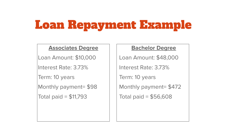## Loan Repayment Example

#### **Associates Degree**

Loan Amount: \$10,000

Interest Rate: 3.73%

Term: 10 years

Monthly payment= \$98

Total paid = \$11,793

#### **Bachelor Degree**

Loan Amount: \$48,000

Interest Rate: 3.73%

Term: 10 years

Monthly payment= \$472

Total paid = \$56,608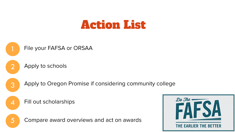### Action List